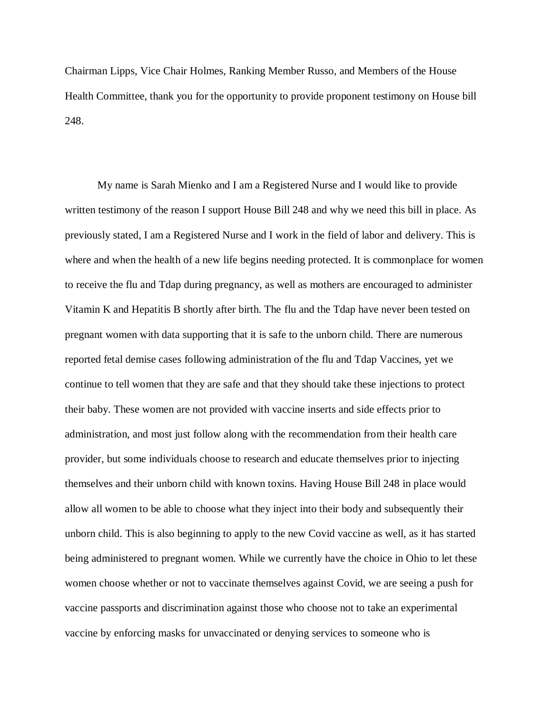Chairman Lipps, Vice Chair Holmes, Ranking Member Russo, and Members of the House Health Committee, thank you for the opportunity to provide proponent testimony on House bill 248.

My name is Sarah Mienko and I am a Registered Nurse and I would like to provide written testimony of the reason I support House Bill 248 and why we need this bill in place. As previously stated, I am a Registered Nurse and I work in the field of labor and delivery. This is where and when the health of a new life begins needing protected. It is commonplace for women to receive the flu and Tdap during pregnancy, as well as mothers are encouraged to administer Vitamin K and Hepatitis B shortly after birth. The flu and the Tdap have never been tested on pregnant women with data supporting that it is safe to the unborn child. There are numerous reported fetal demise cases following administration of the flu and Tdap Vaccines, yet we continue to tell women that they are safe and that they should take these injections to protect their baby. These women are not provided with vaccine inserts and side effects prior to administration, and most just follow along with the recommendation from their health care provider, but some individuals choose to research and educate themselves prior to injecting themselves and their unborn child with known toxins. Having House Bill 248 in place would allow all women to be able to choose what they inject into their body and subsequently their unborn child. This is also beginning to apply to the new Covid vaccine as well, as it has started being administered to pregnant women. While we currently have the choice in Ohio to let these women choose whether or not to vaccinate themselves against Covid, we are seeing a push for vaccine passports and discrimination against those who choose not to take an experimental vaccine by enforcing masks for unvaccinated or denying services to someone who is